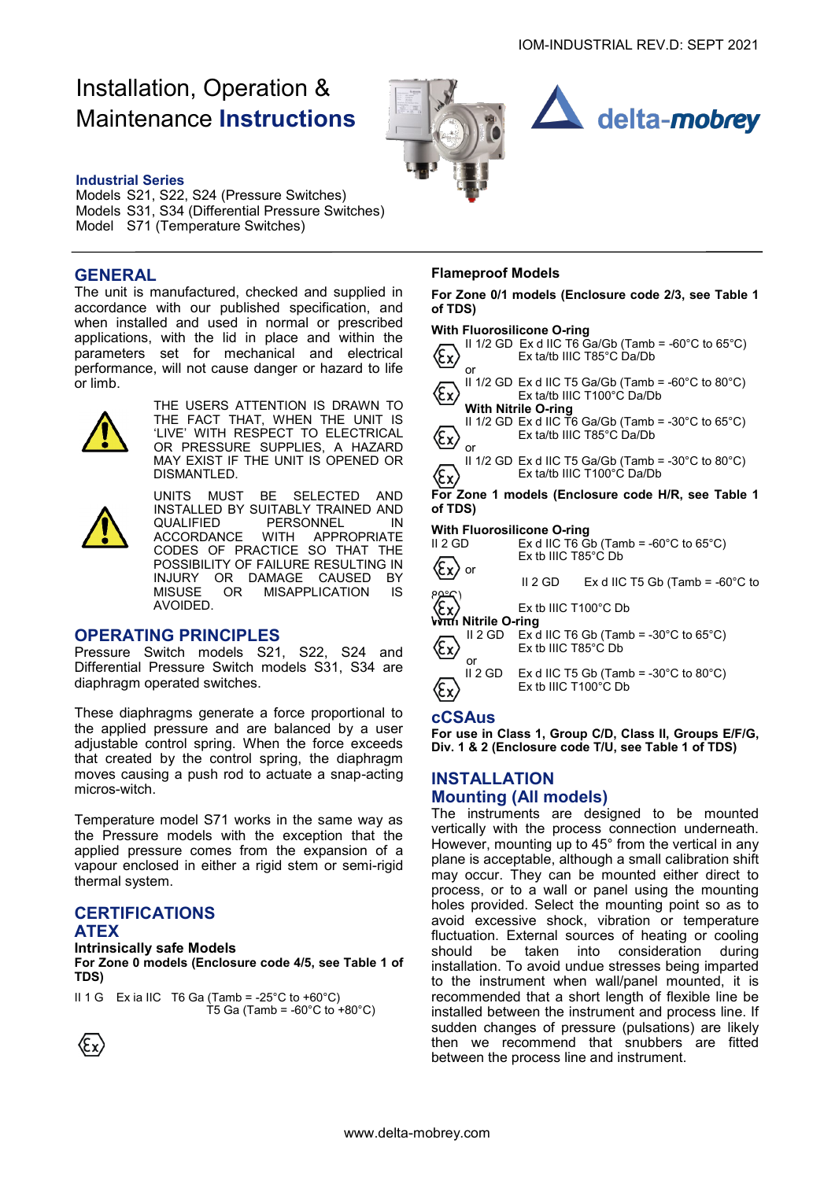## Installation, Operation & Maintenance **Instructions**





#### **Industrial Series**

Models S21, S22, S24 (Pressure Switches) Models S31, S34 (Differential Pressure Switches) Model S71 (Temperature Switches)

### **GENERAL**

The unit is manufactured, checked and supplied in accordance with our published specification, and when installed and used in normal or prescribed applications, with the lid in place and within the parameters set for mechanical and electrical performance, will not cause danger or hazard to life or limb.



THE USERS ATTENTION IS DRAWN TO THE FACT THAT, WHEN THE UNIT IS 'LIVE' WITH RESPECT TO ELECTRICAL OR PRESSURE SUPPLIES, A HAZARD MAY EXIST IF THE UNIT IS OPENED OR DISMANTLED.



UNITS MUST BE SELECTED AND INSTALLED BY SUITABLY TRAINED AND QUALIFIED PERSONNEL IN<br>ACCORDANCE WITH APPROPRIATE ACCORDANCE WITH APPROPRIATE CODES OF PRACTICE SO THAT THE POSSIBILITY OF FAILURE RESULTING IN INJURY OR DAMAGE CAUSED BY<br>MISUSE OR MISAPPLICATION IS MISAPPLICATION IS AVOIDED.

#### **OPERATING PRINCIPLES**

Pressure Switch models S21, S22, S24 and Differential Pressure Switch models S31, S34 are diaphragm operated switches.

These diaphragms generate a force proportional to the applied pressure and are balanced by a user adjustable control spring. When the force exceeds that created by the control spring, the diaphragm moves causing a push rod to actuate a snap-acting micros-witch.

Temperature model S71 works in the same way as the Pressure models with the exception that the applied pressure comes from the expansion of a vapour enclosed in either a rigid stem or semi-rigid thermal system.

## **CERTIFICATIONS**

#### **ATEX**

#### **Intrinsically safe Models**

**For Zone 0 models (Enclosure code 4/5, see Table 1 of TDS)**

II 1 G Ex ia IIC T6 Ga (Tamb = -25 $^{\circ}$ C to +60 $^{\circ}$ C) T5 Ga (Tamb =  $-60^{\circ}$ C to  $+80^{\circ}$ C)



#### **Flameproof Models**

**For Zone 0/1 models (Enclosure code 2/3, see Table 1 of TDS)**

#### **With Fluorosilicone O-ring**

|                                                               |                       | $\frac{1}{2}$                                                                                          |
|---------------------------------------------------------------|-----------------------|--------------------------------------------------------------------------------------------------------|
|                                                               |                       | II 1/2 GD Ex d IIC T6 Ga/Gb (Tamb = -60°C to 65°C)<br>Ex ta/tb IIIC T85°C Da/Db                        |
|                                                               | or                    |                                                                                                        |
|                                                               |                       | II 1/2 GD Ex d IIC T5 Ga/Gb (Tamb = -60°C to 80°C)<br>Ex ta/tb IIIC T100°C Da/Db                       |
|                                                               |                       | <b>With Nitrile O-ring</b>                                                                             |
|                                                               | or                    | II 1/2 GD Ex d IIC T6 Ga/Gb (Tamb = $-30^{\circ}$ C to 65 $^{\circ}$ C)<br>Ex ta/tb IIIC T85°C Da/Db   |
|                                                               |                       | II 1/2 GD Ex d IIC T5 Ga/Gb (Tamb = -30 $^{\circ}$ C to 80 $^{\circ}$ C)<br>Ex ta/tb IIIC T100°C Da/Db |
| For Zone 1 models (Enclosure code H/R, see Table 1<br>of TDS) |                       |                                                                                                        |
|                                                               |                       |                                                                                                        |
|                                                               |                       |                                                                                                        |
|                                                               |                       | <b>With Fluorosilicone O-ring</b>                                                                      |
| II 2 GD                                                       |                       | Ex d IIC T6 Gb (Tamb = $-60^{\circ}$ C to 65 $^{\circ}$ C)                                             |
|                                                               |                       | $Ex$ tb IIIC T85 $^{\circ}$ C Db                                                                       |
|                                                               | or                    | Ex d IIC T5 Gb (Tamb = $-60^{\circ}$ C to<br>II 2 GD -                                                 |
|                                                               |                       | $Ex$ tb IIIC T100 $^{\circ}$ C Db                                                                      |
|                                                               | <b>Nitrile O-ring</b> |                                                                                                        |
|                                                               |                       |                                                                                                        |
|                                                               | or                    | II 2 GD Ex d IIC T6 Gb (Tamb = -30°C to 65°C)<br>Ex tb IIIC T85°C Db                                   |

# ℰ ⁄εx)

II 2 GD Ex d IIC T5 Gb (Tamb =  $-30^{\circ}$ C to  $80^{\circ}$ C) Ex tb IIIC T100°C Db

#### **cCSAus**

**For use in Class 1, Group C/D, Class II, Groups E/F/G, Div. 1 & 2 (Enclosure code T/U, see Table 1 of TDS)**

### **INSTALLATION Mounting (All models)**

The instruments are designed to be mounted vertically with the process connection underneath. However, mounting up to 45° from the vertical in any plane is acceptable, although a small calibration shift may occur. They can be mounted either direct to process, or to a wall or panel using the mounting holes provided. Select the mounting point so as to avoid excessive shock, vibration or temperature fluctuation. External sources of heating or cooling should be taken into consideration during installation. To avoid undue stresses being imparted to the instrument when wall/panel mounted, it is recommended that a short length of flexible line be installed between the instrument and process line. If sudden changes of pressure (pulsations) are likely then we recommend that snubbers are fitted between the process line and instrument.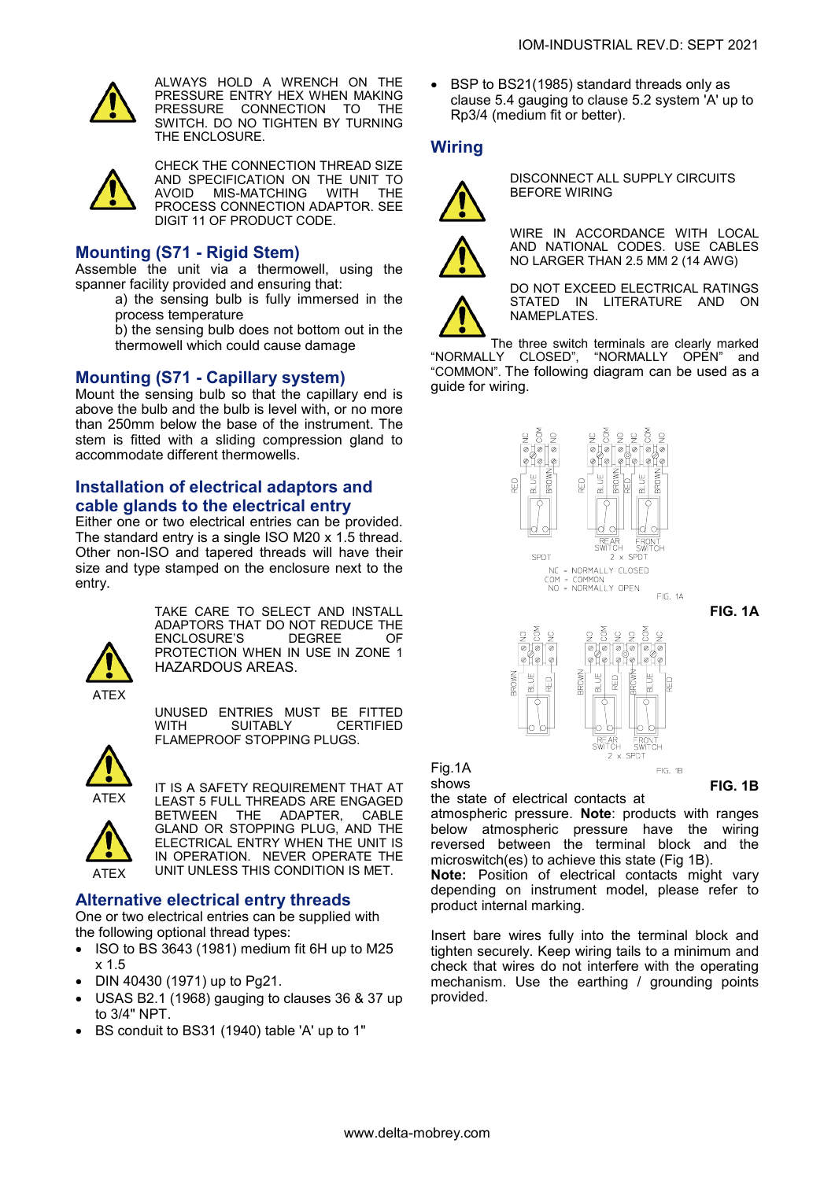

ALWAYS HOLD A WRENCH ON THE PRESSURE ENTRY HEX WHEN MAKING PRESSURE CONNECTION TO THE SWITCH. DO NO TIGHTEN BY TURNING THE ENCLOSURE.



CHECK THE CONNECTION THREAD SIZE AND SPECIFICATION ON THE UNIT TO<br>AVOID MIS-MATCHING WITH THE AVOID MIS-MATCHING PROCESS CONNECTION ADAPTOR. SEE DIGIT 11 OF PRODUCT CODE.

#### **Mounting (S71 - Rigid Stem)**

Assemble the unit via a thermowell, using the spanner facility provided and ensuring that:

- a) the sensing bulb is fully immersed in the process temperature
- b) the sensing bulb does not bottom out in the thermowell which could cause damage

#### **Mounting (S71 - Capillary system)**

Mount the sensing bulb so that the capillary end is above the bulb and the bulb is level with, or no more than 250mm below the base of the instrument. The stem is fitted with a sliding compression gland to accommodate different thermowells.

### **Installation of electrical adaptors and cable glands to the electrical entry**

Either one or two electrical entries can be provided. The standard entry is a single ISO M20 x 1.5 thread. Other non-ISO and tapered threads will have their size and type stamped on the enclosure next to the entry.



TAKE CARE TO SELECT AND INSTALL ADAPTORS THAT DO NOT REDUCE THE<br>FNCLOSURF'S DEGREE OF **ENCLOSURE'S** PROTECTION WHEN IN USE IN ZONE 1 HAZARDOUS AREAS.

UNUSED ENTRIES MUST BE FITTED WITH SUITABLY CERTIFIED FLAMEPROOF STOPPING PLUGS.



ATEX

IT IS A SAFETY REQUIREMENT THAT AT LEAST 5 FULL THREADS ARE ENGAGED<br>BETWEEN THE ADAPTER. CABLE BETWEEN THE ADAPTER, GLAND OR STOPPING PLUG, AND THE ELECTRICAL ENTRY WHEN THE UNIT IS IN OPERATION. NEVER OPERATE THE UNIT UNLESS THIS CONDITION IS MET.

### **Alternative electrical entry threads**

One or two electrical entries can be supplied with the following optional thread types:

- ISO to BS 3643 (1981) medium fit 6H up to M25 x 1.5
- DIN 40430 (1971) up to Pg21.
- USAS B2.1 (1968) gauging to clauses 36 & 37 up to 3/4" NPT.
- BS conduit to BS31 (1940) table 'A' up to 1"

• BSP to BS21(1985) standard threads only as clause 5.4 gauging to clause 5.2 system 'A' up to Rp3/4 (medium fit or better).

#### **Wiring**



DISCONNECT ALL SUPPLY CIRCUITS BEFORE WIRING



WIRE IN ACCORDANCE WITH LOCAL AND NATIONAL CODES. USE CABLES NO LARGER THAN 2.5 MM 2 (14 AWG)

DO NOT EXCEED ELECTRICAL RATINGS STATED IN LITERATURE AND ON NAMEPLATES.

The three switch terminals are clearly marked "NORMALLY CLOSED", "NORMALLY OPEN" and "COMMON". The following diagram can be used as a guide for wiring.



**FIG. 1A**



Fig.1A shows

**FIG. 1B**

the state of electrical contacts at atmospheric pressure. **Note**: products with ranges below atmospheric pressure have the wiring reversed between the terminal block and the microswitch(es) to achieve this state (Fig 1B).

**Note:** Position of electrical contacts might vary depending on instrument model, please refer to product internal marking.

Insert bare wires fully into the terminal block and tighten securely. Keep wiring tails to a minimum and check that wires do not interfere with the operating mechanism. Use the earthing / grounding points provided.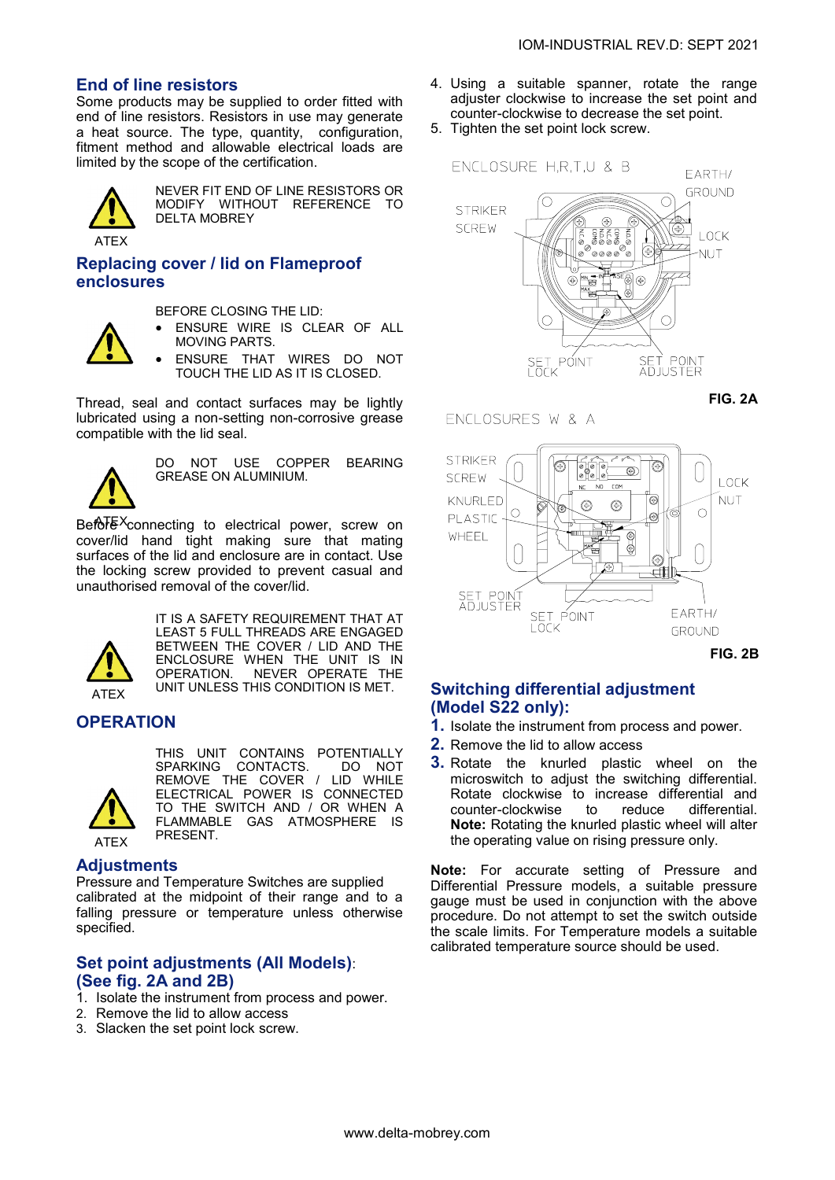## **End of line resistors**

Some products may be supplied to order fitted with end of line resistors. Resistors in use may generate a heat source. The type, quantity, configuration, fitment method and allowable electrical loads are limited by the scope of the certification.



NEVER FIT END OF LINE RESISTORS OR MODIFY WITHOUT REFERENCE TO DELTA MOBREY

## **Replacing cover / lid on Flameproof enclosures**

BEFORE CLOSING THE LID:

- ENSURE WIRE IS CLEAR OF ALL MOVING PARTS.
- ENSURE THAT WIRES DO NOT TOUCH THE LID AS IT IS CLOSED.

Thread, seal and contact surfaces may be lightly lubricated using a non-setting non-corrosive grease compatible with the lid seal.



DO NOT USE COPPER BEARING GREASE ON ALUMINIUM.

Befo<sup>TEX</sup>connecting to electrical power, screw on cover/lid hand tight making sure that mating surfaces of the lid and enclosure are in contact. Use the locking screw provided to prevent casual and unauthorised removal of the cover/lid.



IT IS A SAFETY REQUIREMENT THAT AT LEAST 5 FULL THREADS ARE ENGAGED BETWEEN THE COVER / LID AND THE ENCLOSURE WHEN THE UNIT IS IN OPERATION. NEVER OPERATE THE UNIT UNLESS THIS CONDITION IS MET.

## **OPERATION**



THIS UNIT CONTAINS POTENTIALLY<br>SPARKING CONTACTS. DO NOT SPARKING CONTACTS. REMOVE THE COVER / LID WHILE ELECTRICAL POWER IS CONNECTED TO THE SWITCH AND / OR WHEN A FLAMMABLE GAS ATMOSPHERE IS PRESENT.

#### **Adjustments**

Pressure and Temperature Switches are supplied calibrated at the midpoint of their range and to a falling pressure or temperature unless otherwise specified.

#### **Set point adjustments (All Models)**: **(See fig. 2A and 2B)**

- 1. Isolate the instrument from process and power.
- 2. Remove the lid to allow access
- 3. Slacken the set point lock screw.
- 4. Using a suitable spanner, rotate the range adjuster clockwise to increase the set point and counter-clockwise to decrease the set point.
- 5. Tighten the set point lock screw.





#### ENCLOSURES W & A



**FIG. 2B**

## **Switching differential adjustment (Model S22 only):**

- **1.** Isolate the instrument from process and power.
- **2.** Remove the lid to allow access
- **3.** Rotate the knurled plastic wheel on the microswitch to adjust the switching differential. Rotate clockwise to increase differential and counter-clockwise to reduce differential. **Note:** Rotating the knurled plastic wheel will alter the operating value on rising pressure only.

**Note:** For accurate setting of Pressure and Differential Pressure models, a suitable pressure gauge must be used in conjunction with the above procedure. Do not attempt to set the switch outside the scale limits. For Temperature models a suitable calibrated temperature source should be used.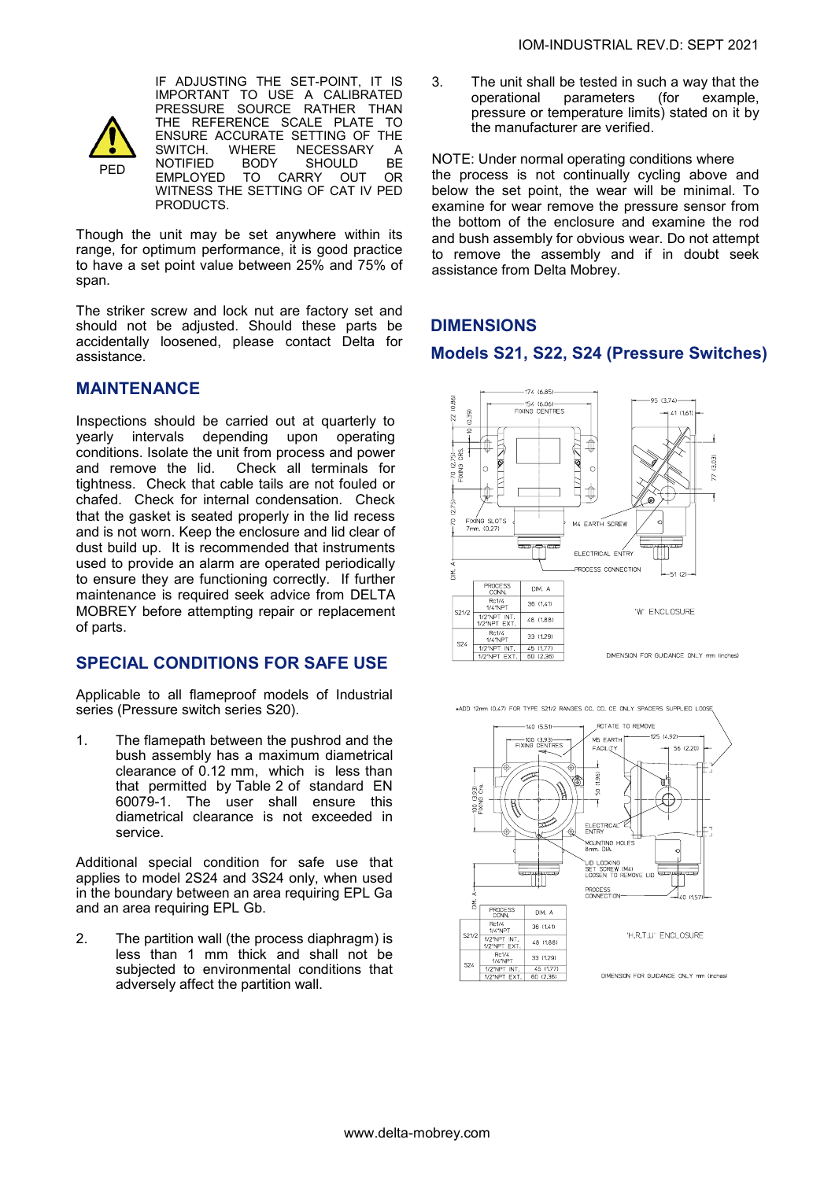

IF ADJUSTING THE SET-POINT, IT IS IMPORTANT TO USE A CALIBRATED PRESSURE SOURCE RATHER THAN THE REFERENCE SCALE PLATE TO ENSURE ACCURATE SETTING OF THE<br>SWITCH. WHERE NECESSARY A SWITCH. WHERE NECESSARY A<br>NOTIFIED BODY SHOULD BE NOTIFIED BODY SHOULD BE<br>EMPLOYED TO CARRY OUT OR TO CARRY OUT WITNESS THE SETTING OF CAT IV PED PRODUCTS.

Though the unit may be set anywhere within its range, for optimum performance, it is good practice to have a set point value between 25% and 75% of span.

The striker screw and lock nut are factory set and should not be adjusted. Should these parts be accidentally loosened, please contact Delta for assistance.

## **MAINTENANCE**

Inspections should be carried out at quarterly to yearly intervals depending upon operating conditions. Isolate the unit from process and power and remove the lid. Check all terminals for tightness. Check that cable tails are not fouled or chafed. Check for internal condensation. Check that the gasket is seated properly in the lid recess and is not worn. Keep the enclosure and lid clear of dust build up. It is recommended that instruments used to provide an alarm are operated periodically to ensure they are functioning correctly. If further maintenance is required seek advice from DELTA MOBREY before attempting repair or replacement of parts.

### **SPECIAL CONDITIONS FOR SAFE USE**

Applicable to all flameproof models of Industrial series (Pressure switch series S20).

1. The flamepath between the pushrod and the bush assembly has a maximum diametrical clearance of 0.12 mm, which is less than that permitted by Table 2 of standard EN 60079-1. The user shall ensure this diametrical clearance is not exceeded in service.

Additional special condition for safe use that applies to model 2S24 and 3S24 only, when used in the boundary between an area requiring EPL Ga and an area requiring EPL Gb.

2. The partition wall (the process diaphragm) is less than 1 mm thick and shall not be subjected to environmental conditions that adversely affect the partition wall.

3. The unit shall be tested in such a way that the operational parameters (for example, pressure or temperature limits) stated on it by the manufacturer are verified.

NOTE: Under normal operating conditions where the process is not continually cycling above and below the set point, the wear will be minimal. To examine for wear remove the pressure sensor from the bottom of the enclosure and examine the rod and bush assembly for obvious wear. Do not attempt to remove the assembly and if in doubt seek assistance from Delta Mobrey.

## **DIMENSIONS**

### **Models S21, S22, S24 (Pressure Switches)**



\*ADD 12mm (0.47) FOR TYPE S21/2 RANGES CC, CD, CE ONLY SPACERS SUPPLIED LOO

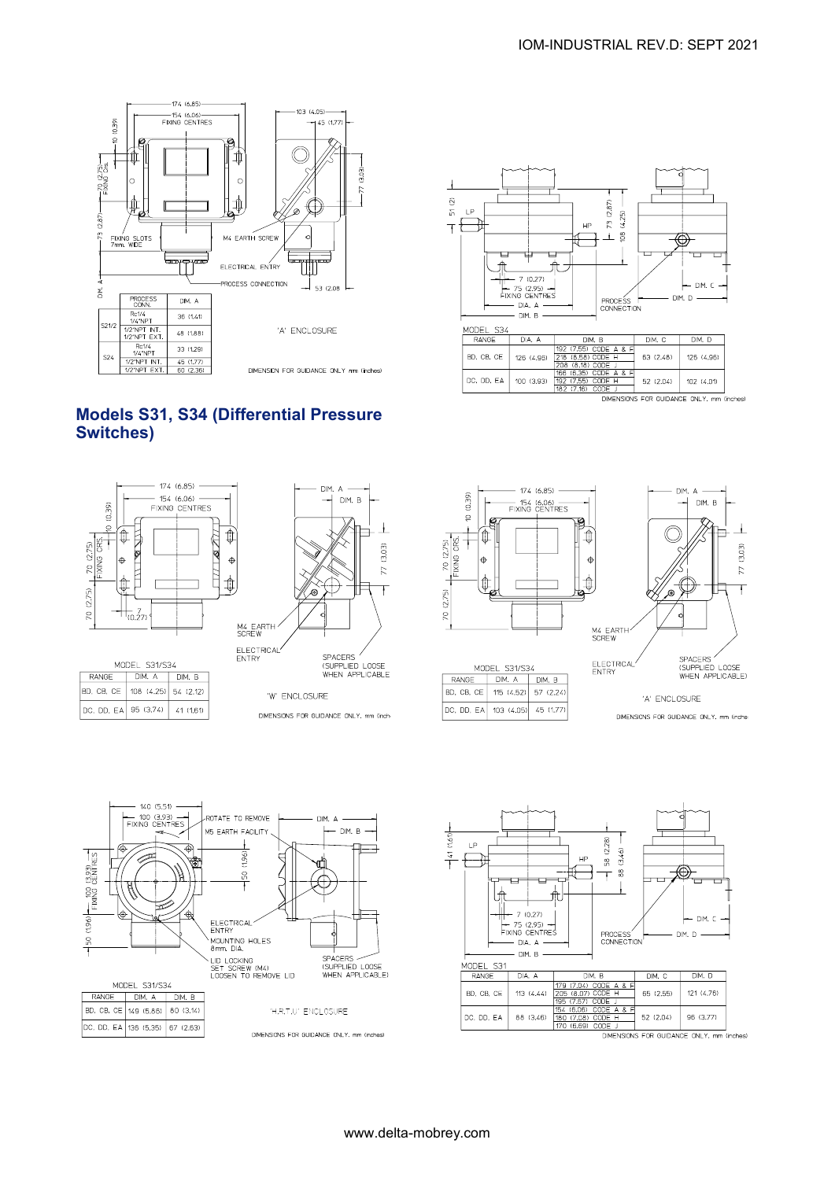

## **Models S31, S34 (Differential Pressure Switches)**



 $41(1,61)$ 

DC, DD, EA 95 (3.74)



DIMENSIONS FOR GUIDANCE ONLY, mm (inch-





₩

DIM D

 $\overline{a}$ 

DIM. C

 $DM. D$ 

 $121(4.76)$ 

96 (3.77)



140 (5.51)  $-$  100 (3.93)  $-$ <br>FIXING CENTRES ROTATE TO REMOVE DIM. A  $-DIM. B$ M5 FARTH FACILITY  $(1.96)$  =  $(100)(\frac{13.93}{2})$  =  $196$ க் ္က ELECTRICAL<br>ENTRY MOUNTING HOLES  $50$ LID LOCKING<br>SET SCREW (M4)<br>LOOSEN TO REMOVE LID SPACERS STRUCTION<br>
WHEN APPLICABLE) MODEL S31/S34 RANGE | DIM. A | DIM. B BD, CB, CE 149 (5.86) 80 (3.14) 'H,R,T,U' ENCLOSURE DC, DD, EA 136 (5.35) 67 (2.63) DIMENSIONS FOR GUIDANCE ONLY, mm (inches)

www.delta-mobrey.com